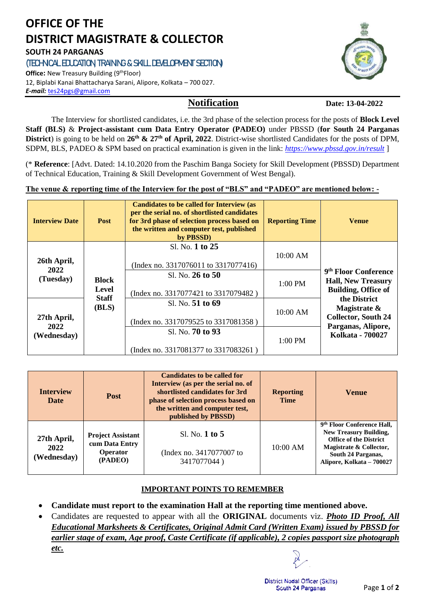# **OFFICE OF THE DISTRICT MAGISTRATE & COLLECTOR SOUTH 24 PARGANAS**

**(TECHNICAL EDUCATION, TRAINING & SKILL DEVELOPMENT SECTION)**

**Office:** New Treasury Building (9<sup>th</sup>Floor) 12, Biplabi Kanai Bhattacharya Sarani, Alipore, Kolkata – 700 027. *E-mail:* [tes24pgs@gmail.com](mailto:tes24pgs@gmail.com)

 **Notification Date: 13-04-2022**

The Interview for shortlisted candidates, i.e. the 3rd phase of the selection process for the posts of **Block Level Staff (BLS)** & **Project-assistant cum Data Entry Operator (PADEO)** under PBSSD (**for South 24 Parganas District**) is going to be held on **26th & 27th of April, 2022**. District-wise shortlisted Candidates for the posts of DPM, SDPM, BLS, PADEO & SPM based on practical examination is given in the link: *<https://www.pbssd.gov.in/result>* ]

(\* **Reference**: [Advt. Dated: 14.10.2020 from the Paschim Banga Society for Skill Development (PBSSD) Department of Technical Education, Training & Skill Development Government of West Bengal).

**The venue & reporting time of the Interview for the post of "BLS" and "PADEO" are mentioned below: -**

| <b>Interview Date</b>              | <b>Post</b>                           | <b>Candidates to be called for Interview (as</b><br>per the serial no. of shortlisted candidates<br>for 3rd phase of selection process based on<br>the written and computer test, published<br>by PBSSD) | <b>Reporting Time</b> | <b>Venue</b>                                                                                |  |
|------------------------------------|---------------------------------------|----------------------------------------------------------------------------------------------------------------------------------------------------------------------------------------------------------|-----------------------|---------------------------------------------------------------------------------------------|--|
| 26th April,                        | <b>Block</b><br>Level<br><b>Staff</b> | Sl. No. 1 to 25<br>(Index no. 3317076011 to 3317077416)                                                                                                                                                  | 10:00 AM              |                                                                                             |  |
| 2022<br>(Tuesday)                  |                                       | Sl. No. 26 to 50<br>(Index no. 3317077421 to 3317079482)                                                                                                                                                 | 1:00 PM               | 9 <sup>th</sup> Floor Conference<br><b>Hall, New Treasury</b><br><b>Building, Office of</b> |  |
| 27th April,<br>2022<br>(Wednesday) | (BLS)                                 | Sl. No. 51 to 69<br>(Index no. 3317079525 to 3317081358)                                                                                                                                                 | 10:00 AM              | the District<br>Magistrate &<br><b>Collector, South 24</b><br>Parganas, Alipore,            |  |
|                                    |                                       | Sl. No. 70 to 93<br>(Index no. 3317081377 to 3317083261)                                                                                                                                                 | $1:00$ PM             | Kolkata - 700027                                                                            |  |

| <b>Interview</b><br><b>Date</b>    | <b>Candidates to be called for</b><br>Interview (as per the serial no. of<br>shortlisted candidates for 3rd<br><b>Post</b><br>phase of selection process based on<br>the written and computer test,<br>published by PBSSD) |                                                           | <b>Reporting</b><br><b>Time</b> | <b>Venue</b>                                                                                                                                                                           |
|------------------------------------|----------------------------------------------------------------------------------------------------------------------------------------------------------------------------------------------------------------------------|-----------------------------------------------------------|---------------------------------|----------------------------------------------------------------------------------------------------------------------------------------------------------------------------------------|
| 27th April,<br>2022<br>(Wednesday) | <b>Project Assistant</b><br>cum Data Entry<br><b>Operator</b><br>(PADEO)                                                                                                                                                   | Sl. No. 1 to 5<br>(Index no. 3417077007 to<br>3417077044) | $10:00$ AM                      | 9 <sup>th</sup> Floor Conference Hall.<br><b>New Treasury Building,</b><br><b>Office of the District</b><br>Magistrate & Collector,<br>South 24 Parganas,<br>Alipore, Kolkata - 700027 |

## **IMPORTANT POINTS TO REMEMBER**

- **Candidate must report to the examination Hall at the reporting time mentioned above.**
- Candidates are requested to appear with all the **ORIGINAL** documents viz. *Photo ID Proof, All Educational Marksheets & Certificates, Original Admit Card (Written Exam) issued by PBSSD for earlier stage of exam, Age proof, Caste Certificate (if applicable), 2 copies passport size photograph etc.*



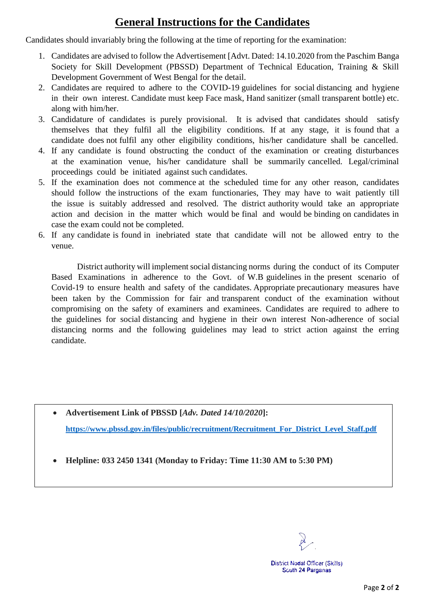# **General Instructions for the Candidates**

Candidates should invariably bring the following at the time of reporting for the examination:

- 1. Candidates are advised to follow the Advertisement [Advt. Dated: 14.10.2020 from the Paschim Banga Society for Skill Development (PBSSD) Department of Technical Education, Training & Skill Development Government of West Bengal for the detail.
- 2. Candidates are required to adhere to the COVID-19 guidelines for social distancing and hygiene in their own interest. Candidate must keep Face mask, Hand sanitizer (small transparent bottle) etc. along with him/her.
- 3. Candidature of candidates is purely provisional. It is advised that candidates should satisfy themselves that they fulfil all the eligibility conditions. If at any stage, it is found that a candidate does not fulfil any other eligibility conditions, his/her candidature shall be cancelled.
- 4. If any candidate is found obstructing the conduct of the examination or creating disturbances at the examination venue, his/her candidature shall be summarily cancelled. Legal/criminal proceedings could be initiated against such candidates.
- 5. If the examination does not commence at the scheduled time for any other reason, candidates should follow the instructions of the exam functionaries, They may have to wait patiently till the issue is suitably addressed and resolved. The district authority would take an appropriate action and decision in the matter which would be final and would be binding on candidates in case the exam could not be completed.
- 6. If any candidate is found in inebriated state that candidate will not be allowed entry to the venue.

District authority will implement social distancing norms during the conduct of its Computer Based Examinations in adherence to the Govt. of W.B guidelines in the present scenario of Covid-19 to ensure health and safety of the candidates. Appropriate precautionary measures have been taken by the Commission for fair and transparent conduct of the examination without compromising on the safety of examiners and examinees. Candidates are required to adhere to the guidelines for social distancing and hygiene in their own interest Non-adherence of social distancing norms and the following guidelines may lead to strict action against the erring candidate.

- **Advertisement Link of PBSSD [***Adv. Dated 14/10/2020***]: [https://www.pbssd.gov.in/files/public/recruitment/Recruitment\\_For\\_District\\_Level\\_Staff.pdf](https://www.pbssd.gov.in/files/public/recruitment/Recruitment_For_District_Level_Staff.pdf)**
- **Helpline: 033 2450 1341 (Monday to Friday: Time 11:30 AM to 5:30 PM)**

**District Nodal Officer (Skills)** Scuth 24 Parganas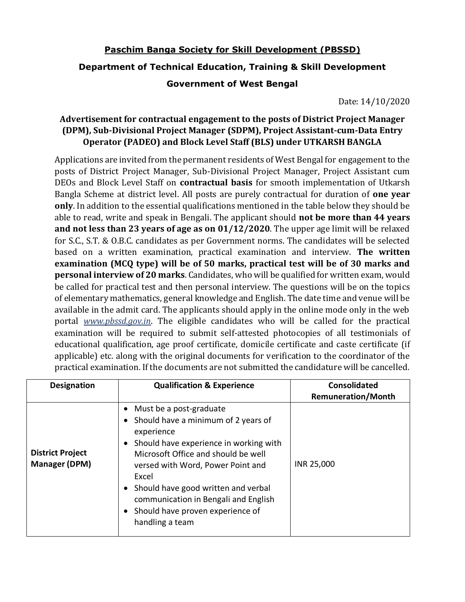## **Paschim Banga Society for Skill Development (PBSSD)**

### **Department of Technical Education, Training & Skill Development**

### **Government of West Bengal**

Date: 14/10/2020

## **Advertisement for contractual engagement to the posts of District Project Manager (DPM), Sub-Divisional Project Manager (SDPM), Project Assistant-cum-Data Entry Operator (PADEO) and Block Level Staff (BLS) under UTKARSH BANGLA**

Applications are invited from the permanent residents of West Bengal for engagement to the posts of District Project Manager, Sub-Divisional Project Manager, Project Assistant cum DEOs and Block Level Staff on **contractual basis** for smooth implementation of Utkarsh Bangla Scheme at district level. All posts are purely contractual for duration of **one year only**. In addition to the essential qualifications mentioned in the table below they should be able to read, write and speak in Bengali. The applicant should **not be more than 44 years and not less than 23 years of age as on 01/12/2020**. The upper age limit will be relaxed for S.C., S.T. & O.B.C. candidates as per Government norms. The candidates will be selected based on a written examination, practical examination and interview. **The written examination (MCQ type) will be of 50 marks, practical test will be of 30 marks and personal interview of 20 marks**. Candidates, who will be qualified for written exam, would be called for practical test and then personal interview. The questions will be on the topics of elementary mathematics, general knowledge and English. The date time and venue will be available in the admit card. The applicants should apply in the online mode only in the web portal *www.pbssd.gov.in*. The eligible candidates who will be called for the practical examination will be required to submit self-attested photocopies of all testimonials of educational qualification, age proof certificate, domicile certificate and caste certificate (if applicable) etc. along with the original documents for verification to the coordinator of the practical examination. If the documents are not submitted the candidature will be cancelled.

| <b>Designation</b>                              | <b>Qualification &amp; Experience</b>                                                                                                                                                                                                                                                                                                                          | <b>Consolidated</b><br><b>Remuneration/Month</b> |
|-------------------------------------------------|----------------------------------------------------------------------------------------------------------------------------------------------------------------------------------------------------------------------------------------------------------------------------------------------------------------------------------------------------------------|--------------------------------------------------|
| <b>District Project</b><br><b>Manager (DPM)</b> | Must be a post-graduate<br>$\bullet$<br>Should have a minimum of 2 years of<br>experience<br>Should have experience in working with<br>Microsoft Office and should be well<br>versed with Word, Power Point and<br>Excel<br>Should have good written and verbal<br>communication in Bengali and English<br>Should have proven experience of<br>handling a team | INR 25,000                                       |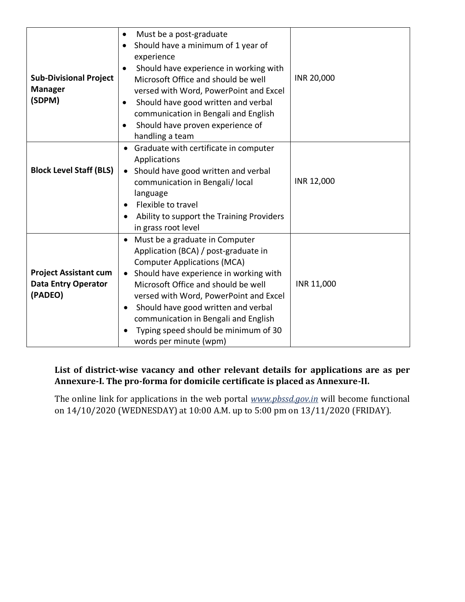| <b>Sub-Divisional Project</b><br><b>Manager</b><br>(SDPM)             | Must be a post-graduate<br>$\bullet$<br>Should have a minimum of 1 year of<br>$\bullet$<br>experience<br>Should have experience in working with<br>$\bullet$<br>Microsoft Office and should be well<br>versed with Word, PowerPoint and Excel<br>Should have good written and verbal<br>٠<br>communication in Bengali and English<br>Should have proven experience of<br>$\bullet$<br>handling a team                           | INR 20,000 |
|-----------------------------------------------------------------------|---------------------------------------------------------------------------------------------------------------------------------------------------------------------------------------------------------------------------------------------------------------------------------------------------------------------------------------------------------------------------------------------------------------------------------|------------|
| <b>Block Level Staff (BLS)</b>                                        | Graduate with certificate in computer<br>$\bullet$<br>Applications<br>Should have good written and verbal<br>$\bullet$<br>communication in Bengali/ local<br>language<br>Flexible to travel<br>Ability to support the Training Providers<br>٠<br>in grass root level                                                                                                                                                            | INR 12,000 |
| <b>Project Assistant cum</b><br><b>Data Entry Operator</b><br>(PADEO) | Must be a graduate in Computer<br>$\bullet$<br>Application (BCA) / post-graduate in<br><b>Computer Applications (MCA)</b><br>Should have experience in working with<br>$\bullet$<br>Microsoft Office and should be well<br>versed with Word, PowerPoint and Excel<br>Should have good written and verbal<br>$\bullet$<br>communication in Bengali and English<br>Typing speed should be minimum of 30<br>words per minute (wpm) | INR 11,000 |

## **List of district-wise vacancy and other relevant details for applications are as per Annexure-I. The pro-forma for domicile certificate is placed as Annexure-II.**

The online link for applications in the web portal *www.pbssd.gov.in* will become functional on 14/10/2020 (WEDNESDAY) at 10:00 A.M. up to 5:00 pm on 13/11/2020 (FRIDAY).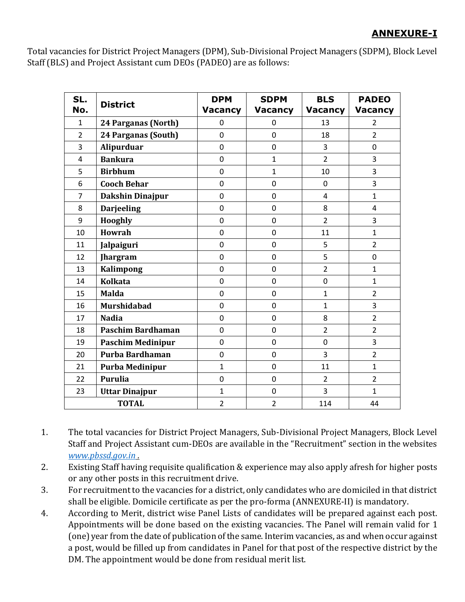## **ANNEXURE-I**

Total vacancies for District Project Managers (DPM), Sub-Divisional Project Managers (SDPM), Block Level Staff (BLS) and Project Assistant cum DEOs (PADEO) are as follows:

| SL.<br>No.     | <b>District</b>          | <b>DPM</b><br><b>Vacancy</b> | <b>SDPM</b><br><b>Vacancy</b> | <b>BLS</b><br><b>Vacancy</b> | <b>PADEO</b><br><b>Vacancy</b> |
|----------------|--------------------------|------------------------------|-------------------------------|------------------------------|--------------------------------|
| 1              | 24 Parganas (North)      | 0                            | 0                             | 13                           | $\overline{2}$                 |
| $\overline{2}$ | 24 Parganas (South)      | 0                            | $\mathbf 0$                   | 18                           | $\overline{2}$                 |
| 3              | Alipurduar               | $\mathbf 0$                  | $\mathbf 0$                   | 3                            | $\mathbf 0$                    |
| 4              | <b>Bankura</b>           | 0                            | $\mathbf{1}$                  | $\overline{2}$               | 3                              |
| 5              | <b>Birbhum</b>           | $\mathbf 0$                  | 1                             | 10                           | 3                              |
| 6              | <b>Cooch Behar</b>       | 0                            | 0                             | 0                            | 3                              |
| $\overline{7}$ | <b>Dakshin Dinajpur</b>  | 0                            | 0                             | 4                            | $\mathbf{1}$                   |
| 8              | <b>Darjeeling</b>        | 0                            | 0                             | 8                            | 4                              |
| 9              | <b>Hooghly</b>           | 0                            | 0                             | $\overline{2}$               | 3                              |
| 10             | <b>Howrah</b>            | 0                            | $\mathbf 0$                   | 11                           | $\mathbf{1}$                   |
| 11             | Jalpaiguri               | $\mathbf 0$                  | $\mathbf 0$                   | 5                            | $\overline{2}$                 |
| 12             | <b>Jhargram</b>          | $\mathbf 0$                  | $\mathbf 0$                   | 5                            | $\mathbf 0$                    |
| 13             | <b>Kalimpong</b>         | $\mathbf 0$                  | $\mathbf 0$                   | $\overline{2}$               | $\mathbf{1}$                   |
| 14             | <b>Kolkata</b>           | $\mathbf 0$                  | $\mathbf 0$                   | $\mathbf 0$                  | $\mathbf{1}$                   |
| 15             | <b>Malda</b>             | $\mathbf 0$                  | $\mathbf 0$                   | $\mathbf{1}$                 | $\overline{2}$                 |
| 16             | <b>Murshidabad</b>       | $\mathbf 0$                  | $\mathbf 0$                   | $\mathbf{1}$                 | 3                              |
| 17             | <b>Nadia</b>             | $\mathbf 0$                  | $\mathbf 0$                   | 8                            | $\overline{2}$                 |
| 18             | Paschim Bardhaman        | 0                            | $\mathbf 0$                   | $\overline{2}$               | $\overline{2}$                 |
| 19             | <b>Paschim Medinipur</b> | $\mathbf 0$                  | 0                             | 0                            | 3                              |
| 20             | Purba Bardhaman          | 0                            | 0                             | 3                            | $\overline{2}$                 |
| 21             | <b>Purba Medinipur</b>   | $\mathbf{1}$                 | 0                             | 11                           | $\mathbf{1}$                   |
| 22             | <b>Purulia</b>           | $\overline{0}$               | 0                             | $\overline{2}$               | $\overline{2}$                 |
| 23             | <b>Uttar Dinajpur</b>    | $\mathbf{1}$                 | 0                             | 3                            | $\mathbf{1}$                   |
| <b>TOTAL</b>   |                          | $\overline{2}$               | $\overline{2}$                | 114                          | 44                             |

1. The total vacancies for District Project Managers, Sub-Divisional Project Managers, Block Level Staff and Project Assistant cum-DEOs are available in the "Recruitment" section in the websites *[www.pbssd.gov.in](http://www.pbssd.gov.in/) .*

- 2. Existing Staff having requisite qualification & experience may also apply afresh for higher posts or any other posts in this recruitment drive.
- 3. For recruitment to the vacancies for a district, only candidates who are domiciled in that district shall be eligible. Domicile certificate as per the pro-forma (ANNEXURE-II) is mandatory.
- 4. According to Merit, district wise Panel Lists of candidates will be prepared against each post. Appointments will be done based on the existing vacancies. The Panel will remain valid for 1 (one) year from the date of publication of the same. Interim vacancies, as and when occur against a post, would be filled up from candidates in Panel for that post of the respective district by the DM. The appointment would be done from residual merit list.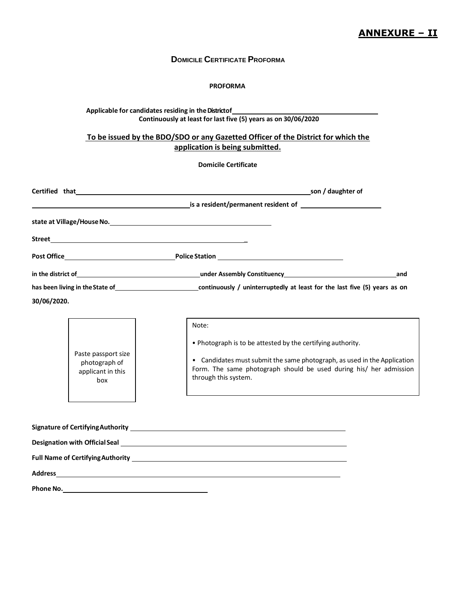### **ANNEXURE – II**

#### **DOMICILE CERTIFICATE PROFORMA**

#### **PROFORMA**

#### **Applicable for candidates residing in theDistrictof Continuously at least for last five (5) years as on 30/06/2020**

#### **To be issued by the BDO/SDO or any Gazetted Officer of the District for which the application is being submitted.**

#### **Domicile Certificate**

|                |                                                                  | Certified that example and the same service of the service of the service of the service of the service of the service of the service of the service of the service of the service of the service of the service of the servic                 |
|----------------|------------------------------------------------------------------|------------------------------------------------------------------------------------------------------------------------------------------------------------------------------------------------------------------------------------------------|
|                |                                                                  | <b>Example 2018</b> is a resident/permanent resident of <b>Example 2018</b> 2019 12:00:00 PM 2019                                                                                                                                              |
|                |                                                                  |                                                                                                                                                                                                                                                |
|                |                                                                  |                                                                                                                                                                                                                                                |
|                |                                                                  |                                                                                                                                                                                                                                                |
|                |                                                                  |                                                                                                                                                                                                                                                |
|                |                                                                  | has been living in the State of example and the continuously / uninterruptedly at least for the last five (5) years as on                                                                                                                      |
| 30/06/2020.    |                                                                  |                                                                                                                                                                                                                                                |
|                | Paste passport size<br>photograph of<br>applicant in this<br>box | Note:<br>. Photograph is to be attested by the certifying authority.<br>• Candidates must submit the same photograph, as used in the Application<br>Form. The same photograph should be used during his/ her admission<br>through this system. |
| <b>Address</b> |                                                                  |                                                                                                                                                                                                                                                |

**Phone No.**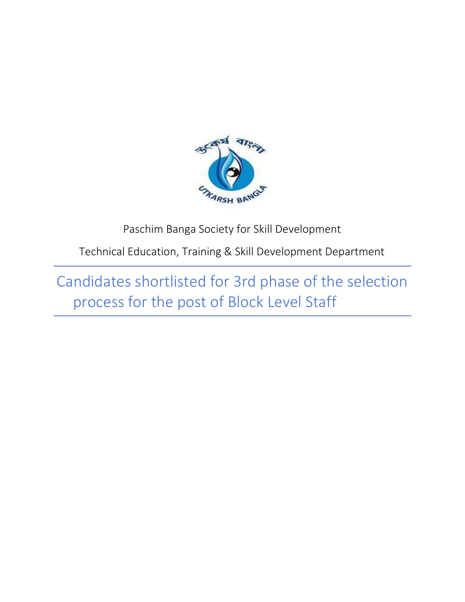

Paschim Banga Society for Skill Development

Technical Education, Training & Skill Development Department

Candidates shortlisted for 3rd phase of the selection process for the post of Block Level Staff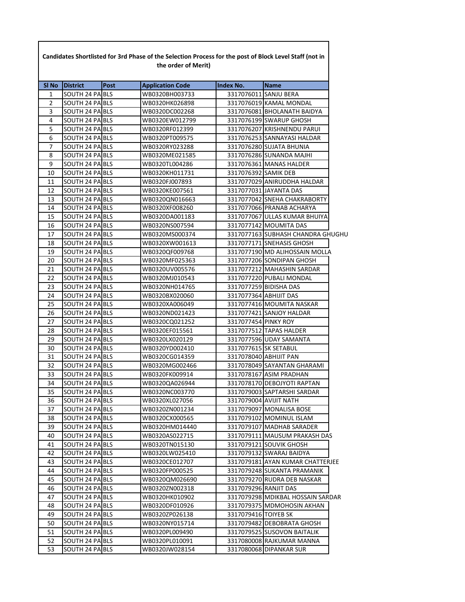| SI No        | <b>District</b> | Post | <b>Application Code</b> | <b>Index No.</b>     | <b>Name</b>                       |  |
|--------------|-----------------|------|-------------------------|----------------------|-----------------------------------|--|
| 1            | SOUTH 24 PA BLS |      | WB0320BH003733          |                      | 3317076011 SANJU BERA             |  |
| $\mathbf{2}$ | SOUTH 24 PA BLS |      | WB0320HK026898          |                      | 3317076019 KAMAL MONDAL           |  |
| 3            | SOUTH 24 PA BLS |      | WB0320DC002268          |                      | 3317076081 BHOLANATH BAIDYA       |  |
| 4            | SOUTH 24 PA BLS |      | WB0320EW012799          |                      | 3317076199 SWARUP GHOSH           |  |
| 5            | SOUTH 24 PA BLS |      | WB0320RF012399          |                      | 3317076207 KRISHNENDU PARUI       |  |
| 6            | SOUTH 24 PA BLS |      | WB0320PT009575          |                      | 3317076253 SANNAYASI HALDAR       |  |
| 7            | SOUTH 24 PA BLS |      | WB0320RY023288          |                      | 3317076280 SUJATA BHUNIA          |  |
| 8            | SOUTH 24 PA BLS |      | WB0320ME021585          |                      | 3317076286 SUNANDA MAJHI          |  |
| 9            | SOUTH 24 PA BLS |      | WB0320TL004286          |                      | 3317076361 MANAS HALDER           |  |
| 10           | SOUTH 24 PA BLS |      | WB0320KH011731          | 3317076392 SAMIK DEB |                                   |  |
| 11           | SOUTH 24 PA BLS |      | WB0320FJ007893          |                      | 3317077029 ANIRUDDHA HALDAR       |  |
| 12           | SOUTH 24 PA BLS |      | WB0320KE007561          |                      | 3317077031 JAYANTA DAS            |  |
| 13           | SOUTH 24 PA BLS |      | WB0320QN016663          |                      | 3317077042 SNEHA CHAKRABORTY      |  |
| 14           | SOUTH 24 PA BLS |      | WB0320XF008260          |                      | 3317077066 PRANAB ACHARYA         |  |
| 15           | SOUTH 24 PA BLS |      | WB0320DA001183          |                      | 3317077067 ULLAS KUMAR BHUIYA     |  |
| 16           | SOUTH 24 PA BLS |      | WB0320NS007594          |                      | 3317077142 MOUMITA DAS            |  |
| 17           | SOUTH 24 PA BLS |      | WB0320MS000374          |                      | 3317077163 SUBHASH CHANDRA GHUGHU |  |
| 18           | SOUTH 24 PA BLS |      | WB0320XW001613          |                      | 3317077171 SNEHASIS GHOSH         |  |
| 19           | SOUTH 24 PA BLS |      | WB0320QF009768          |                      | 3317077190 MD ALIHOSSAIN MOLLA    |  |
| 20           | SOUTH 24 PA BLS |      | WB0320MF025363          |                      | 3317077206 SONDIPAN GHOSH         |  |
| 21           | SOUTH 24 PA BLS |      | WB0320UV005576          |                      | 3317077212 MAHASHIN SARDAR        |  |
| 22           | SOUTH 24 PA BLS |      | WB0320MJ010543          |                      | 3317077220 PUBALI MONDAL          |  |
| 23           | SOUTH 24 PA BLS |      | WB0320NH014765          |                      | 3317077259 BIDISHA DAS            |  |
| 24           | SOUTH 24 PA BLS |      | WB0320BX020060          |                      | 3317077364 ABHIJIT DAS            |  |
| 25           | SOUTH 24 PA BLS |      | WB0320XA006049          |                      | 3317077416 MOUMITA NASKAR         |  |
| 26           | SOUTH 24 PA BLS |      | WB0320ND021423          |                      | 3317077421 SANJOY HALDAR          |  |
| 27           | SOUTH 24 PA BLS |      | WB0320CQ021252          | 3317077454 PINKY ROY |                                   |  |
| 28           | SOUTH 24 PA BLS |      | WB0320EF015561          |                      | 3317077512 TAPAS HALDER           |  |
| 29           | SOUTH 24 PA BLS |      | WB0320LX020129          |                      | 3317077596 UDAY SAMANTA           |  |
| 30           | SOUTH 24 PA BLS |      | WB0320YD002410          |                      | 3317077615 SK SETABUL             |  |
| 31           | SOUTH 24 PA BLS |      | WB0320CG014359          |                      | 3317078040 ABHIJIT PAN            |  |
| 32           | SOUTH 24 PA BLS |      | WB0320MG002466          |                      | 3317078049 SAYANTAN GHARAMI       |  |
| 33           | SOUTH 24 PA BLS |      | WB0320FK009914          |                      | 3317078167 ASIM PRADHAN           |  |
| 34           | SOUTH 24 PA BLS |      | WB0320QA026944          |                      | 3317078170 DEBOJYOTI RAPTAN       |  |
| 35           | SOUTH 24 PA BLS |      | WB0320NC003770          |                      | 3317079003 SAPTARSHI SARDAR       |  |
| 36           | SOUTH 24 PA BLS |      | WB0320XL027056          |                      | 3317079004 AVIJIT NATH            |  |
| 37           | SOUTH 24 PA BLS |      | WB0320ZN001234          |                      | 3317079097 MONALISA BOSE          |  |
| 38           | SOUTH 24 PA BLS |      | WB0320CX000565          |                      | 3317079102 MOMINUL ISLAM          |  |
| 39           | SOUTH 24 PA BLS |      | WB0320HM014440          |                      | 3317079107 MADHAB SARADER         |  |
| 40           | SOUTH 24 PA BLS |      | WB0320AS022715          |                      | 3317079111 MAUSUM PRAKASH DAS     |  |
| 41           | SOUTH 24 PA BLS |      | WB0320TN015130          |                      | 3317079121 SOUVIK GHOSH           |  |
| 42           | SOUTH 24 PA BLS |      | WB0320LW025410          |                      | 3317079132 SWARAJ BAIDYA          |  |
| 43           | SOUTH 24 PA BLS |      | WB0320CE012707          |                      | 3317079181 AYAN KUMAR CHATTERJEE  |  |
| 44           | SOUTH 24 PA BLS |      | WB0320FP000525          |                      | 3317079248 SUKANTA PRAMANIK       |  |
| 45           | SOUTH 24 PA BLS |      | WB0320QM026690          |                      | 3317079270 RUDRA DEB NASKAR       |  |
| 46           | SOUTH 24 PA BLS |      | WB0320ZN002318          |                      | 3317079296 RANJIT DAS             |  |
| 47           | SOUTH 24 PA BLS |      | WB0320HK010902          |                      | 3317079298 MDIKBAL HOSSAIN SARDAR |  |
| 48           | SOUTH 24 PA BLS |      | WB0320DF010926          |                      | 3317079375 MDMOHOSIN AKHAN        |  |
| 49           | SOUTH 24 PA BLS |      | WB0320ZP026138          | 3317079416 TOIYEB SK |                                   |  |
| 50           | SOUTH 24 PA BLS |      | WB0320NY015714          |                      | 3317079482 DEBOBRATA GHOSH        |  |
| 51           | SOUTH 24 PA BLS |      | WB0320PL009490          |                      | 3317079525 SUSOVON BAITALIK       |  |
| 52           | SOUTH 24 PA BLS |      | WB0320PL010091          |                      | 3317080008 RAJKUMAR MANNA         |  |
| 53           | SOUTH 24 PA BLS |      | WB0320JW028154          |                      | 3317080068 DIPANKAR SUR           |  |

**Candidates Shortlisted for 3rd Phase of the Selection Process for the post of Block Level Staff (not in**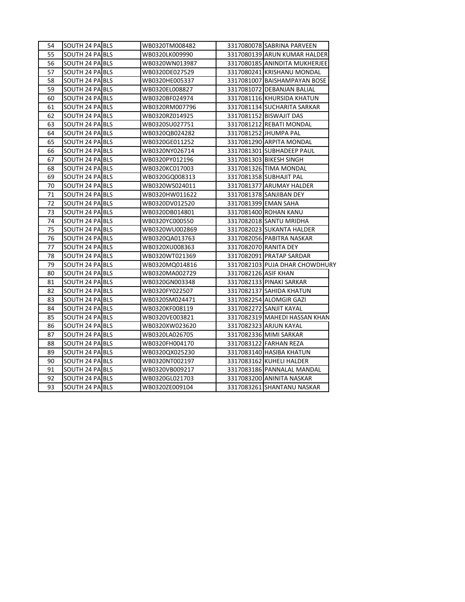| 54 | SOUTH 24 PA BLS | WB0320TM008482 |                       | 3317080078 SABRINA PARVEEN     |
|----|-----------------|----------------|-----------------------|--------------------------------|
| 55 | SOUTH 24 PA BLS | WB0320LK009990 |                       | 3317080139 ARUN KUMAR HALDER   |
| 56 | SOUTH 24 PA BLS | WB0320WN013987 |                       | 3317080185 ANINDITA MUKHERJEE  |
| 57 | SOUTH 24 PA BLS | WB0320DE027529 |                       | 3317080241 KRISHANU MONDAL     |
| 58 | SOUTH 24 PA BLS | WB0320HE005337 |                       | 3317081007 BAISHAMPAYAN BOSE   |
| 59 | SOUTH 24 PA BLS | WB0320EL008827 |                       | 3317081072 DEBANJAN BALIAL     |
| 60 | SOUTH 24 PA BLS | WB0320BF024974 |                       | 3317081116 KHURSIDA KHATUN     |
| 61 | SOUTH 24 PA BLS | WB0320RM007796 |                       | 3317081134 SUCHARITA SARKAR    |
| 62 | SOUTH 24 PA BLS | WB0320RZ014925 |                       | 3317081152 BISWAJIT DAS        |
| 63 | SOUTH 24 PA BLS | WB0320SU027751 |                       | 3317081212 REBATI MONDAL       |
| 64 | SOUTH 24 PA BLS | WB0320QB024282 |                       | 3317081252 JHUMPA PAL          |
| 65 | SOUTH 24 PA BLS | WB0320GE011252 |                       | 3317081290 ARPITA MONDAL       |
| 66 | SOUTH 24 PA BLS | WB0320NY026714 |                       | 3317081301 SUBHADEEP PAUL      |
| 67 | SOUTH 24 PA BLS | WB0320PY012196 |                       | 3317081303 BIKESH SINGH        |
| 68 | SOUTH 24 PA BLS | WB0320KC017003 |                       | 3317081326 TIMA MONDAL         |
| 69 | SOUTH 24 PA BLS | WB0320GQ008313 |                       | 3317081358 SUBHAJIT PAL        |
| 70 | SOUTH 24 PA BLS | WB0320WS024011 |                       | 3317081377 ARUMAY HALDER       |
| 71 | SOUTH 24 PA BLS | WB0320HW011622 |                       | 3317081378 SANJIBAN DEY        |
| 72 | SOUTH 24 PA BLS | WB0320DV012520 |                       | 3317081399 EMAN SAHA           |
| 73 | SOUTH 24 PA BLS | WB0320DB014801 |                       | 3317081400 ROHAN KANU          |
| 74 | SOUTH 24 PA BLS | WB0320YC000550 |                       | 3317082018 SANTU MRIDHA        |
| 75 | SOUTH 24 PA BLS | WB0320WU002869 |                       | 3317082023 SUKANTA HALDER      |
| 76 | SOUTH 24 PA BLS | WB0320QA013763 |                       | 3317082056 PABITRA NASKAR      |
| 77 | SOUTH 24 PA BLS | WB0320XU008363 | 3317082070 RANITA DEY |                                |
| 78 | SOUTH 24 PA BLS | WB0320WT021369 |                       | 3317082091 PRATAP SARDAR       |
| 79 | SOUTH 24 PA BLS | WB0320MQ014816 |                       | 3317082103 PUJA DHAR CHOWDHURY |
| 80 | SOUTH 24 PA BLS | WB0320MA002729 | 3317082126 ASIF KHAN  |                                |
| 81 | SOUTH 24 PA BLS | WB0320GN003348 |                       | 3317082133 PINAKI SARKAR       |
| 82 | SOUTH 24 PA BLS | WB0320FY022507 |                       | 3317082137 SAHIDA KHATUN       |
| 83 | SOUTH 24 PA BLS | WB0320SM024471 |                       | 3317082254 ALOMGIR GAZI        |
| 84 | SOUTH 24 PA BLS | WB0320KF008119 |                       | 3317082272 SANJIT KAYAL        |
| 85 | SOUTH 24 PA BLS | WB0320VE003821 |                       | 3317082319 MAHEDI HASSAN KHAN  |
| 86 | SOUTH 24 PA BLS | WB0320XW023620 |                       | 3317082323 ARJUN KAYAL         |
| 87 | SOUTH 24 PA BLS | WB0320LA026705 |                       | 3317082336 MIMI SARKAR         |
| 88 | SOUTH 24 PA BLS | WB0320FH004170 |                       | 3317083122 FARHAN REZA         |
| 89 | SOUTH 24 PA BLS | WB0320QX025230 |                       | 3317083140 HASIBA KHATUN       |
| 90 | SOUTH 24 PA BLS | WB0320NT002197 |                       | 3317083162 KUHELI HALDER       |
| 91 | SOUTH 24 PA BLS | WB0320VB009217 |                       | 3317083186 PANNALAL MANDAL     |
| 92 | SOUTH 24 PA BLS | WB0320GL021703 |                       | 3317083200 ANINITA NASKAR      |
| 93 | SOUTH 24 PA BLS | WB0320ZE009104 |                       | 3317083261 SHANTANU NASKAR     |
|    |                 |                |                       |                                |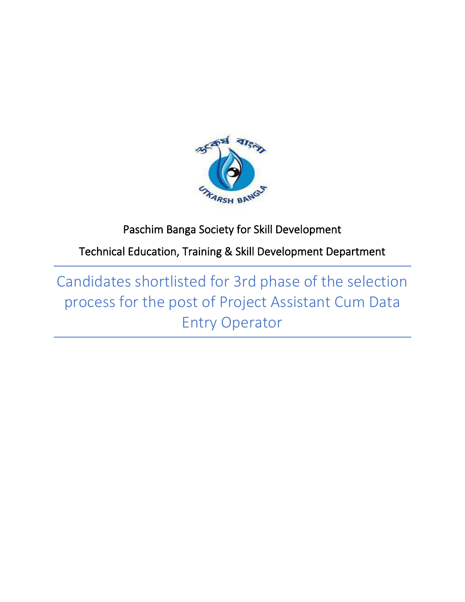

# Paschim Banga Society for Skill Development

Technical Education, Training & Skill Development Department

Candidates shortlisted for 3rd phase of the selection process for the post of Project Assistant Cum Data Entry Operator